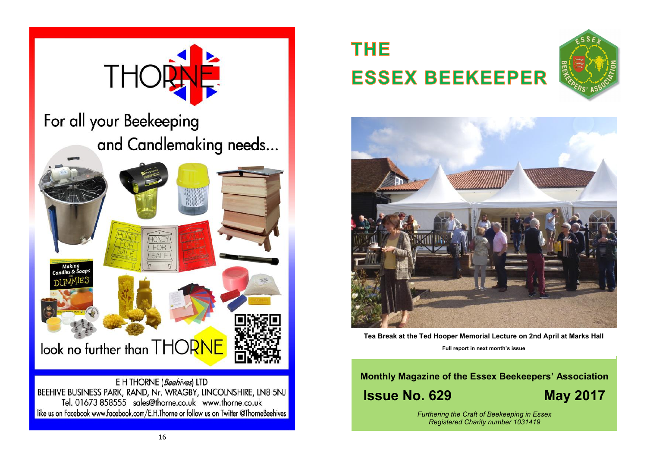

# **THE ESSEX BEEKEEPER**





**Tea Break at the Ted Hooper Memorial Lecture on 2nd April at Marks Hall Full report in next month's issue**

# **Monthly Magazine of the Essex Beekeepers' Association Issue No. 629 May 2017**

*Furthering the Craft of Beekeeping in Essex Registered Charity number 1031419*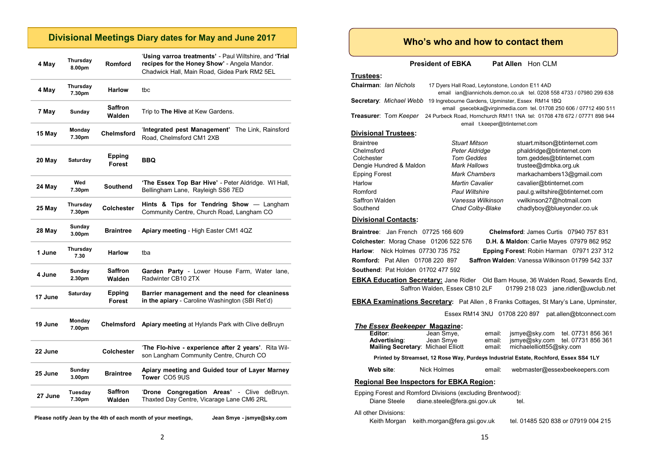#### **Divisional Meetings Diary dates for May and June 2017**

| 4 May   | Thursday<br>8.00pm           | Romford                  | 'Using varroa treatments' - Paul Wiltshire, and 'Trial<br>recipes for the Honey Show' - Angela Mandor.<br>Chadwick Hall, Main Road, Gidea Park RM2 5EL |
|---------|------------------------------|--------------------------|--------------------------------------------------------------------------------------------------------------------------------------------------------|
| 4 May   | Thursday<br>7.30pm           | <b>Harlow</b>            | tbc                                                                                                                                                    |
| 7 May   | Sunday                       | <b>Saffron</b><br>Walden | Trip to The Hive at Kew Gardens.                                                                                                                       |
| 15 May  | Monday<br>7.30pm             | <b>Chelmsford</b>        | 'Integrated pest Management' The Link, Rainsford<br>Road, Chelmsford CM1 2XB                                                                           |
| 20 May  | Saturday                     | Epping<br>Forest         | BBQ                                                                                                                                                    |
| 24 May  | Wed<br>7.30pm                | <b>Southend</b>          | 'The Essex Top Bar Hive' - Peter Aldridge. WI Hall,<br>Bellingham Lane, Rayleigh SS6 7ED                                                               |
| 25 May  | Thursday<br>7.30pm           | <b>Colchester</b>        | Hints & Tips for Tendring Show - Langham<br>Community Centre, Church Road, Langham CO                                                                  |
| 28 May  | Sunday<br>3.00 <sub>pm</sub> | <b>Braintree</b>         | Apiary meeting - High Easter CM1 4QZ                                                                                                                   |
| 1 June  | Thursday<br>7.30             | <b>Harlow</b>            | tba                                                                                                                                                    |
| 4 June  | Sunday<br>2.30pm             | <b>Saffron</b><br>Walden | Garden Party - Lower House Farm, Water lane,<br>Radwinter CB10 2TX                                                                                     |
| 17 June | Saturday                     | Epping<br>Forest         | Barrier management and the need for cleaniness<br>in the apiary - Caroline Washington (SBI Ret'd)                                                      |
| 19 June | Monday<br>7.00pm             | Chelmsford               | Apiary meeting at Hylands Park with Clive deBruyn                                                                                                      |
| 22 June |                              | <b>Colchester</b>        | 'The Flo-hive - experience after 2 years'. Rita Wil-<br>son Langham Community Centre, Church CO                                                        |
| 25 June | Sunday<br>3.00 <sub>pm</sub> | <b>Braintree</b>         | Apiary meeting and Guided tour of Layer Marney<br>Tower CO5 9US                                                                                        |
| 27 June | Tuesday<br>7.30pm            | Saffron<br>Walden        | <b>'Drone</b><br>Congregation Areas'<br>- Clive deBruyn.<br>Thaxted Day Centre, Vicarage Lane CM6 2RL                                                  |
|         |                              |                          |                                                                                                                                                        |

**Please notify Jean by the 4th of each month of your meetings, Jean Smye - jsmye@sky.com**

**Who's who and how to contact them**

**President of EBKA** Pat Allen Hon CLM

#### **Trustees:**

| Chairman: <i>Ian Nichols</i> | 17 Dyers Hall Road, Leytonstone, London E11 4AD                                                          | email ian@iannichols.demon.co.uk tel. 0208 558 4733 / 07980 299 638 |  |
|------------------------------|----------------------------------------------------------------------------------------------------------|---------------------------------------------------------------------|--|
| Secretary: Michael Webb      | 19 Ingrebourne Gardens, Upminster, Essex RM14 1BQ                                                        | email qsecebka@virqinmedia.com tel. 01708 250 606 / 07712 490 511   |  |
| Treasurer: Tom Keeper        | 24 Purbeck Road, Hornchurch RM11 1NA tel: 01708 478 672 / 07771 898 944<br>email t.keeper@btinternet.com |                                                                     |  |
| <b>Divisional Trustees:</b>  |                                                                                                          |                                                                     |  |
| <b>Braintree</b>             | <b>Stuart Mitson</b>                                                                                     | stuart.mitson@btinternet.com                                        |  |
| Chelmsford                   | Peter Aldridge                                                                                           | phaldridge@btinternet.com                                           |  |
| Colchester                   | <b>Tom Geddes</b>                                                                                        | tom.geddes@btinternet.com                                           |  |
| Dengie Hundred & Maldon      | Mark Hallows                                                                                             | trustee@dmbka.org.uk                                                |  |
| <b>Epping Forest</b>         | <b>Mark Chambers</b>                                                                                     | markachambers13@gmail.com                                           |  |
| Harlow                       | <b>Martin Cavalier</b>                                                                                   | cavalier@btinternet.com                                             |  |
| Romford                      | <b>Paul Wiltshire</b>                                                                                    | paul.g.wiltshire@btinternet.com                                     |  |
| Saffron Walden               | Vanessa Wilkinson                                                                                        | vwilkinson27@hotmail.com                                            |  |
| Southend                     | Chad Colby-Blake                                                                                         | chadlyboy@blueyonder.co.uk                                          |  |

#### **Divisional Contacts:**

**Southend**: Pat Holden 01702 477 592

**Braintree**: Jan French 07725 166 609 **Chelmsford**: James Curtis 07940 757 831 **Colchester**: Morag Chase 01206 522 576 **D.H. & Maldon**: Carlie Mayes 07979 862 952 **Harlow**: Nick Holmes 07730 735 752 **Epping Forest**: Robin Harman 07971 237 312 **Romford:** Pat Allen 01708 220 897 **Saffron Walden**: Vanessa Wilkinson 01799 542 337

**EBKA Education Secretary:** Jane Ridler Old Barn House, 36 Walden Road, Sewards End, Saffron Walden, Essex CB10 2LF 01799 218 023 jane.ridler@uwclub.net

**EBKA Examinations Secretary:** Pat Allen , 8 Franks Cottages, St Mary's Lane, Upminster,

Essex RM14 3NU 01708 220 897 pat.allen@btconnect.com

#### *The Essex Beekeeper* **Magazine: Editor:** Jean Smye, email: jsmye@sky.com tel. 07731 856 361<br>**Advertising**: Jean Smye email: ismye@sky.com tel. 07731 856 361 **Advertision Smye @sky.com** tel. 07731 856 361<br> **Advertision Smyther Smyther Smyther Smyther Smyther Smyther Smyther Smyther Smyther Smyther Smyther Smyther Smyther Smyther Smyther Smyther Smyther Smyther Smyther Smyther S Mailing Secretary: Michael Elliott** email: **Printed by Streamset, 12 Rose Way, Purdeys Industrial Estate, Rochford, Essex SS4 1LY** Web site: Nick Holmes email: webmaster@essexbeekeepers.com **Regional Bee Inspectors for EBKA Region:** Epping Forest and Romford Divisions (excluding Brentwood): Diane Steele diane.steele@fera.gsi.gov.uk tel.

All other Divisions:

Keith Morgan keith.morgan@fera.gsi.gov.uk tel. 01485 520 838 or 07919 004 215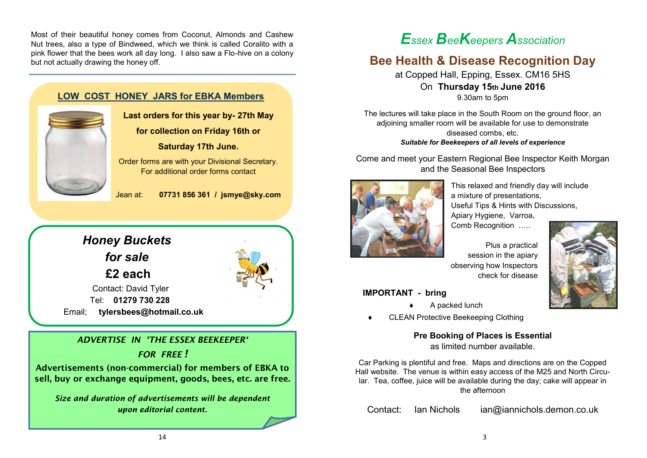Most of their beautiful honey comes from Coconut, Almonds and Cashew Nut trees, also a type of Bindweed, which we think is called Coralito with a pink flower that the bees work all day long. I also saw a Flo-hive on a colony but not actually drawing the honey off.



**Last orders for this year by- 27th May**

**for collection on Friday 16th or Saturday 17th June.**

Order forms are with your Divisional Secretary. For additional order forms contact

Jean at: **07731 856 361 / jsmye@sky.com**



### *ADVERTISE IN 'THE ESSEX BEEKEEPER'*

*FOR FREE !*

Advertisements (non-commercial) for members of EBKA to sell, buy or exchange equipment, goods, bees, etc. are free.

*Size and duration of advertisements will be dependent upon editorial content.*

# *Essex BeeKeepers Association*

### **Bee Health & Disease Recognition Day**

at Copped Hall, Epping, Essex. CM16 5HS On **Thursday 15th June 2016** 9.30am to 5pm

The lectures will take place in the South Room on the ground floor, an adjoining smaller room will be available for use to demonstrate diseased combs, etc. *Suitable for Beekeepers of all levels of experience*

Come and meet your Eastern Regional Bee Inspector Keith Morgan and the Seasonal Bee Inspectors



This relaxed and friendly day will include a mixture of presentations, Useful Tips & Hints with Discussions, Apiary Hygiene, Varroa,

Comb Recognition …..

Plus a practical session in the apiary observing how Inspectors check for disease

#### **IMPORTANT - bring**

- A packed lunch
- CLEAN Protective Beekeeping Clothing

**Pre Booking of Places is Essential** as limited number available.

Car Parking is plentiful and free. Maps and directions are on the Copped Hall website. The venue is within easy access of the M25 and North Circular. Tea, coffee, juice will be available during the day; cake will appear in the afternoon

Contact: Ian Nichols ian@iannichols.demon.co.uk

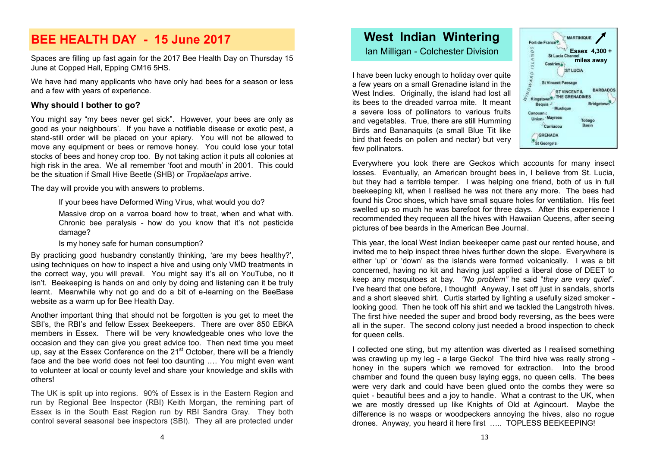### **BEE HEALTH DAY - 15 June 2017**

Spaces are filling up fast again for the 2017 Bee Health Day on Thursday 15 June at Copped Hall, Epping CM16 5HS.

We have had many applicants who have only had bees for a season or less and a few with years of experience.

#### **Why should I bother to go?**

You might say "my bees never get sick". However, your bees are only as good as your neighbours'. If you have a notifiable disease or exotic pest, a stand-still order will be placed on your apiary. You will not be allowed to move any equipment or bees or remove honey. You could lose your total stocks of bees and honey crop too. By not taking action it puts all colonies at high risk in the area. We all remember 'foot and mouth' in 2001. This could be the situation if Small Hive Beetle (SHB) or *Tropilaelaps* arrive.

The day will provide you with answers to problems.

If your bees have Deformed Wing Virus, what would you do?

Massive drop on a varroa board how to treat, when and what with. Chronic bee paralysis - how do you know that it's not pesticide damage?

Is my honey safe for human consumption?

By practicing good husbandry constantly thinking, 'are my bees healthy?', using techniques on how to inspect a hive and using only VMD treatments in the correct way, you will prevail. You might say it's all on YouTube, no it isn't. Beekeeping is hands on and only by doing and listening can it be truly learnt. Meanwhile why not go and do a bit of e-learning on the BeeBase website as a warm up for Bee Health Day.

Another important thing that should not be forgotten is you get to meet the SBI's, the RBI's and fellow Essex Beekeepers. There are over 850 EBKA members in Essex. There will be very knowledgeable ones who love the occasion and they can give you great advice too. Then next time you meet up, say at the Essex Conference on the  $21<sup>st</sup>$  October, there will be a friendly face and the bee world does not feel too daunting .… You might even want to volunteer at local or county level and share your knowledge and skills with others!

The UK is split up into regions. 90% of Essex is in the Eastern Region and run by Regional Bee Inspector (RBI) Keith Morgan, the remining part of Essex is in the South East Region run by RBI Sandra Gray. They both control several seasonal bee inspectors (SBI). They all are protected under

## **West Indian Wintering**

Ian Milligan - Colchester Division **Example 2** Essex 4,300 +

I have been lucky enough to holiday over quite a few years on a small Grenadine island in the West Indies. Originally, the island had lost all its bees to the dreaded varroa mite. It meant a severe loss of pollinators to various fruits and vegetables. True, there are still Humming Birds and Bananaquits (a small Blue Tit like bird that feeds on pollen and nectar) but very few pollinators.



Everywhere you look there are Geckos which accounts for many insect losses. Eventually, an American brought bees in, I believe from St. Lucia, but they had a terrible temper. I was helping one friend, both of us in full beekeeping kit, when I realised he was not there any more. The bees had found his Croc shoes, which have small square holes for ventilation. His feet swelled up so much he was barefoot for three days. After this experience I recommended they requeen all the hives with Hawaiian Queens, after seeing pictures of bee beards in the American Bee Journal.

This year, the local West Indian beekeeper came past our rented house, and invited me to help inspect three hives further down the slope. Everywhere is either 'up' or 'down' as the islands were formed volcanically. I was a bit concerned, having no kit and having just applied a liberal dose of DEET to keep any mosquitoes at bay. *"No problem"* he said "*they are very quiet*". I've heard that one before, I thought! Anyway, I set off just in sandals, shorts and a short sleeved shirt. Curtis started by lighting a usefully sized smoker looking good. Then he took off his shirt and we tackled the Langstroth hives. The first hive needed the super and brood body reversing, as the bees were all in the super. The second colony just needed a brood inspection to check for queen cells.

I collected one sting, but my attention was diverted as I realised something was crawling up my leg - a large Gecko! The third hive was really strong honey in the supers which we removed for extraction. Into the brood chamber and found the queen busy laying eggs, no queen cells. The bees were very dark and could have been glued onto the combs they were so quiet - beautiful bees and a joy to handle. What a contrast to the UK, when we are mostly dressed up like Knights of Old at Agincourt. Maybe the difference is no wasps or woodpeckers annoying the hives, also no rogue drones. Anyway, you heard it here first ….. TOPLESS BEEKEEPING!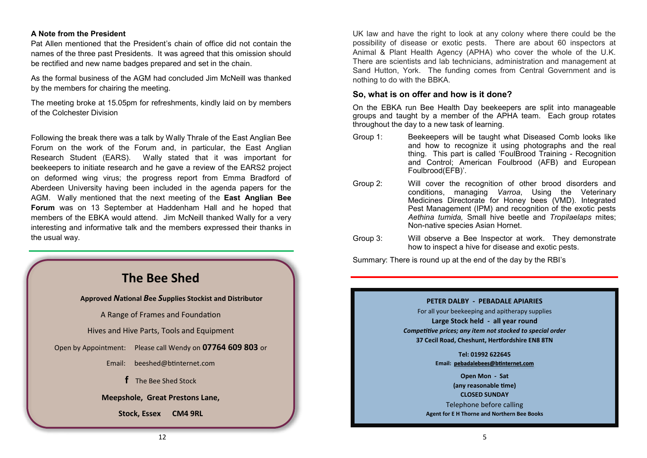#### **A Note from the President**

Pat Allen mentioned that the President's chain of office did not contain the names of the three past Presidents. It was agreed that this omission should be rectified and new name badges prepared and set in the chain.

As the formal business of the AGM had concluded Jim McNeill was thanked by the members for chairing the meeting.

The meeting broke at 15.05pm for refreshments, kindly laid on by members of the Colchester Division

Following the break there was a talk by Wally Thrale of the East Anglian Bee Forum on the work of the Forum and, in particular, the East Anglian Research Student (EARS). Wally stated that it was important for beekeepers to initiate research and he gave a review of the EARS2 project on deformed wing virus; the progress report from Emma Bradford of Aberdeen University having been included in the agenda papers for the AGM. Wally mentioned that the next meeting of the **East Anglian Bee Forum** was on 13 September at Haddenham Hall and he hoped that members of the EBKA would attend. Jim McNeill thanked Wally for a very interesting and informative talk and the members expressed their thanks in the usual way.



UK law and have the right to look at any colony where there could be the possibility of disease or exotic pests. There are about 60 inspectors at Animal & Plant Health Agency (APHA) who cover the whole of the U.K. There are scientists and lab technicians, administration and management at Sand Hutton, York. The funding comes from Central Government and is nothing to do with the BBKA.

#### **So, what is on offer and how is it done?**

On the EBKA run Bee Health Day beekeepers are split into manageable groups and taught by a member of the APHA team. Each group rotates throughout the day to a new task of learning.

- Group 1: Beekeepers will be taught what Diseased Comb looks like and how to recognize it using photographs and the real thing. This part is called 'FoulBrood Training - Recognition and Control; American Foulbrood (AFB) and European Foulbrood(EFB)'.
- Group 2: Will cover the recognition of other brood disorders and conditions, managing *Varroa*, Using the Veterinary Medicines Directorate for Honey bees (VMD). Integrated Pest Management (IPM) and recognition of the exotic pests *Aethina tumida,* Small hive beetle and *Tropilaelaps* mites; Non-native species Asian Hornet.
- Group 3: Will observe a Bee Inspector at work. They demonstrate how to inspect a hive for disease and exotic pests.

Summary: There is round up at the end of the day by the RBI's



For all your beekeeping and apitherapy supplies **Large Stock held - all year round** *Competitive prices; any item not stocked to special order* **37 Cecil Road, Cheshunt, Hertfordshire EN8 8TN**

> **Tel: 01992 622645 Email: [pebadalebees@btinternet.com](mailto:pebadalebees@btinternet.com)**

**Open Mon - Sat (any reasonable time) CLOSED SUNDAY** Telephone before calling **Agent for E H Thorne and Northern Bee Books**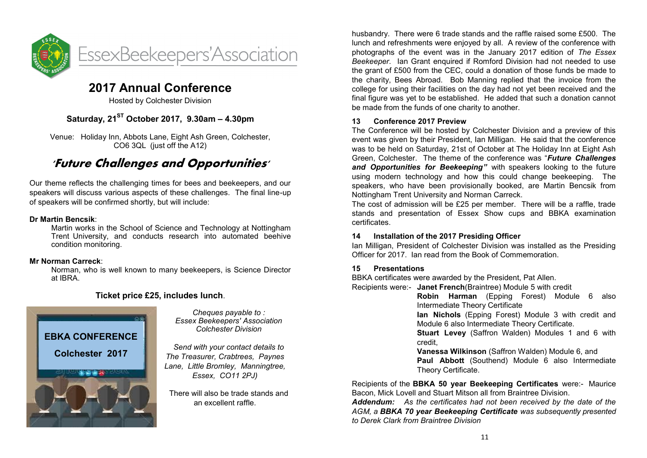

### **2017 Annual Conference**

Hosted by Colchester Division

### **Saturday, 21ST October 2017, 9.30am – 4.30pm**

Venue: Holiday Inn, Abbots Lane, Eight Ash Green, Colchester, CO6 3QL (just off the A12)

### **'Future Challenges and Opportunities'**

Our theme reflects the challenging times for bees and beekeepers, and our speakers will discuss various aspects of these challenges. The final line-up of speakers will be confirmed shortly, but will include:

#### **Dr Martin Bencsik**:

Martin works in the School of Science and Technology at Nottingham Trent University, and conducts research into automated beehive condition monitoring.

#### **Mr Norman Carreck**:

Norman, who is well known to many beekeepers, is Science Director at IBRA.

#### **Ticket price £25, includes lunch**.



*Cheques payable to : Essex Beekeepers' Association Colchester Division*

*Send with your contact details to The Treasurer, Crabtrees, Paynes Lane, Little Bromley, Manningtree, Essex, CO11 2PJ)*

There will also be trade stands and an excellent raffle.

husbandry. There were 6 trade stands and the raffle raised some £500. The lunch and refreshments were enjoyed by all. A review of the conference with photographs of the event was in the January 2017 edition of *The Essex Beekeeper*. Ian Grant enquired if Romford Division had not needed to use the grant of £500 from the CEC, could a donation of those funds be made to the charity, Bees Abroad. Bob Manning replied that the invoice from the college for using their facilities on the day had not yet been received and the final figure was yet to be established. He added that such a donation cannot be made from the funds of one charity to another.

#### **13 Conference 2017 Preview**

The Conference will be hosted by Colchester Division and a preview of this event was given by their President, Ian Milligan. He said that the conference was to be held on Saturday, 21st of October at The Holiday Inn at Eight Ash Green, Colchester. The theme of the conference was "*Future Challenges and Opportunities for Beekeeping"* with speakers looking to the future using modern technology and how this could change beekeeping. The speakers, who have been provisionally booked, are Martin Bencsik from Nottingham Trent University and Norman Carreck.

The cost of admission will be £25 per member. There will be a raffle, trade stands and presentation of Essex Show cups and BBKA examination certificates.

#### **14 Installation of the 2017 Presiding Officer**

Ian Milligan, President of Colchester Division was installed as the Presiding Officer for 2017. Ian read from the Book of Commemoration.

#### **15 Presentations**

BBKA certificates were awarded by the President, Pat Allen.

Recipients were:- **Janet French**(Braintree) Module 5 with credit

**Robin Harman** (Epping Forest) Module 6 also Intermediate Theory Certificate

**Ian Nichols** (Epping Forest) Module 3 with credit and Module 6 also Intermediate Theory Certificate.

**Stuart Levey** (Saffron Walden) Modules 1 and 6 with credit,

**Vanessa Wilkinson** (Saffron Walden) Module 6, and **Paul Abbott** (Southend) Module 6 also Intermediate Theory Certificate.

Recipients of the **BBKA 50 year Beekeeping Certificates** were:- Maurice Bacon, Mick Lovell and Stuart Mitson all from Braintree Division.

*Addendum: As the certificates had not been received by the date of the AGM, a BBKA 70 year Beekeeping Certificate was subsequently presented to Derek Clark from Braintree Division*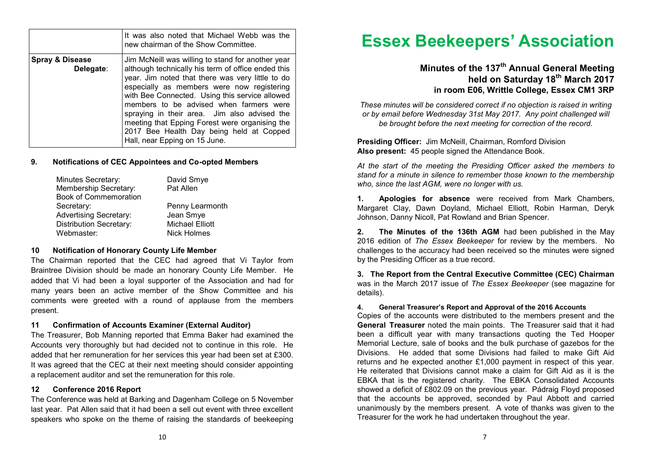|                                         | It was also noted that Michael Webb was the<br>new chairman of the Show Committee.                                                                                                                                                                                                                                                                                                                                                                                                    |
|-----------------------------------------|---------------------------------------------------------------------------------------------------------------------------------------------------------------------------------------------------------------------------------------------------------------------------------------------------------------------------------------------------------------------------------------------------------------------------------------------------------------------------------------|
| <b>Spray &amp; Disease</b><br>Delegate: | Jim McNeill was willing to stand for another year<br>although technically his term of office ended this<br>year. Jim noted that there was very little to do<br>especially as members were now registering<br>with Bee Connected. Using this service allowed<br>members to be advised when farmers were<br>spraying in their area. Jim also advised the<br>meeting that Epping Forest were organising the<br>2017 Bee Health Day being held at Copped<br>Hall, near Epping on 15 June. |

#### **9. Notifications of CEC Appointees and Co-opted Members**

| Minutes Secretary:            | David Smye             |  |  |
|-------------------------------|------------------------|--|--|
| Membership Secretary:         | Pat Allen              |  |  |
| <b>Book of Commemoration</b>  |                        |  |  |
| Secretary:                    | Penny Learmonth        |  |  |
| <b>Advertising Secretary:</b> | Jean Smye              |  |  |
| Distribution Secretary:       | <b>Michael Elliott</b> |  |  |
| Webmaster:                    | Nick Holmes            |  |  |
|                               |                        |  |  |

#### **10 Notification of Honorary County Life Member**

The Chairman reported that the CEC had agreed that Vi Taylor from Braintree Division should be made an honorary County Life Member. He added that Vi had been a loyal supporter of the Association and had for many years been an active member of the Show Committee and his comments were greeted with a round of applause from the members present.

#### **11 Confirmation of Accounts Examiner (External Auditor)**

The Treasurer, Bob Manning reported that Emma Baker had examined the Accounts very thoroughly but had decided not to continue in this role. He added that her remuneration for her services this year had been set at £300. It was agreed that the CEC at their next meeting should consider appointing a replacement auditor and set the remuneration for this role.

#### **12 Conference 2016 Report**

The Conference was held at Barking and Dagenham College on 5 November last year. Pat Allen said that it had been a sell out event with three excellent speakers who spoke on the theme of raising the standards of beekeeping

# **Essex Beekeepers' Association**

### **Minutes of the 137th Annual General Meeting held on Saturday 18th March 2017 in room E06, Writtle College, Essex CM1 3RP**

*These minutes will be considered correct if no objection is raised in writing or by email before Wednesday 31st May 2017. Any point challenged will be brought before the next meeting for correction of the record.*

**Presiding Officer:** Jim McNeill, Chairman, Romford Division **Also present:** 45 people signed the Attendance Book.

*At the start of the meeting the Presiding Officer asked the members to stand for a minute in silence to remember those known to the membership who, since the last AGM, were no longer with us.* 

**1. Apologies for absence** were received from Mark Chambers, Margaret Clay, Dawn Doyland, Michael Elliott, Robin Harman, Deryk Johnson, Danny Nicoll, Pat Rowland and Brian Spencer.

**2. The Minutes of the 136th AGM** had been published in the May 2016 edition of *The Essex Beekeeper* for review by the members. No challenges to the accuracy had been received so the minutes were signed by the Presiding Officer as a true record.

**3. The Report from the Central Executive Committee (CEC) Chairman**  was in the March 2017 issue of *The Essex Beekeeper* (see magazine for details).

#### **4. General Treasurer's Report and Approval of the 2016 Accounts**

Copies of the accounts were distributed to the members present and the **General Treasurer** noted the main points. The Treasurer said that it had been a difficult year with many transactions quoting the Ted Hooper Memorial Lecture, sale of books and the bulk purchase of gazebos for the Divisions. He added that some Divisions had failed to make Gift Aid returns and he expected another £1,000 payment in respect of this year. He reiterated that Divisions cannot make a claim for Gift Aid as it is the EBKA that is the registered charity. The EBKA Consolidated Accounts showed a deficit of £802.09 on the previous year. Pádraig Floyd proposed that the accounts be approved, seconded by Paul Abbott and carried unanimously by the members present. A vote of thanks was given to the Treasurer for the work he had undertaken throughout the year.